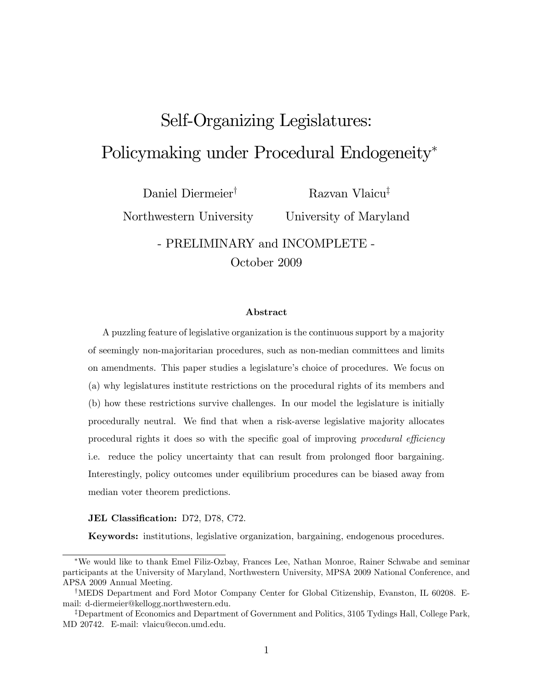# Self-Organizing Legislatures: Policymaking under Procedural Endogeneity

Daniel Diermeier<sup>†</sup>

Northwestern University

Razvan Vlaicu<sup>‡</sup> University of Maryland

- PRELIMINARY and INCOMPLETE - October 2009

#### Abstract

A puzzling feature of legislative organization is the continuous support by a majority of seemingly non-majoritarian procedures, such as non-median committees and limits on amendments. This paper studies a legislature's choice of procedures. We focus on (a) why legislatures institute restrictions on the procedural rights of its members and (b) how these restrictions survive challenges. In our model the legislature is initially procedurally neutral. We Önd that when a risk-averse legislative majority allocates procedural rights it does so with the specific goal of improving procedural efficiency i.e. reduce the policy uncertainty that can result from prolonged floor bargaining. Interestingly, policy outcomes under equilibrium procedures can be biased away from median voter theorem predictions.

#### JEL Classification: D72, D78, C72.

Keywords: institutions, legislative organization, bargaining, endogenous procedures.

We would like to thank Emel Filiz-Ozbay, Frances Lee, Nathan Monroe, Rainer Schwabe and seminar participants at the University of Maryland, Northwestern University, MPSA 2009 National Conference, and APSA 2009 Annual Meeting.

<sup>&</sup>lt;sup>†</sup>MEDS Department and Ford Motor Company Center for Global Citizenship, Evanston, IL 60208. Email: d-diermeier@kellogg.northwestern.edu.

<sup>&</sup>lt;sup>‡</sup>Department of Economics and Department of Government and Politics, 3105 Tydings Hall, College Park, MD 20742. E-mail: vlaicu@econ.umd.edu.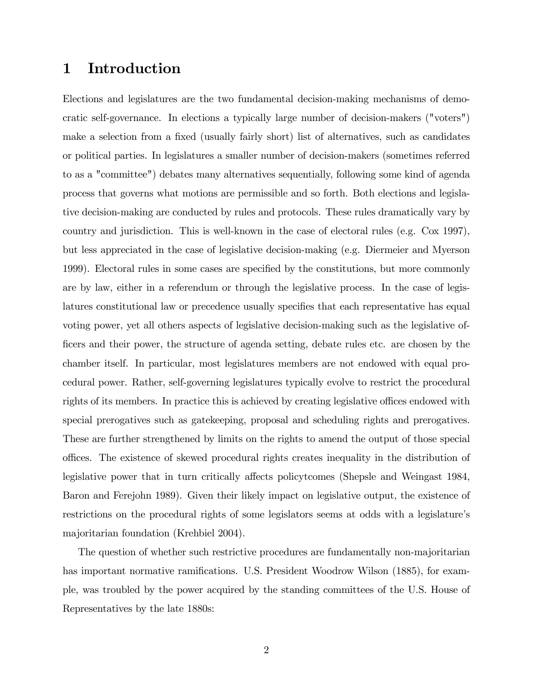## 1 Introduction

Elections and legislatures are the two fundamental decision-making mechanisms of democratic self-governance. In elections a typically large number of decision-makers ("voters") make a selection from a fixed (usually fairly short) list of alternatives, such as candidates or political parties. In legislatures a smaller number of decision-makers (sometimes referred to as a "committee") debates many alternatives sequentially, following some kind of agenda process that governs what motions are permissible and so forth. Both elections and legislative decision-making are conducted by rules and protocols. These rules dramatically vary by country and jurisdiction. This is well-known in the case of electoral rules (e.g. Cox 1997), but less appreciated in the case of legislative decision-making (e.g. Diermeier and Myerson 1999). Electoral rules in some cases are specified by the constitutions, but more commonly are by law, either in a referendum or through the legislative process. In the case of legislatures constitutional law or precedence usually specifies that each representative has equal voting power, yet all others aspects of legislative decision-making such as the legislative of-Öcers and their power, the structure of agenda setting, debate rules etc. are chosen by the chamber itself. In particular, most legislatures members are not endowed with equal procedural power. Rather, self-governing legislatures typically evolve to restrict the procedural rights of its members. In practice this is achieved by creating legislative offices endowed with special prerogatives such as gatekeeping, proposal and scheduling rights and prerogatives. These are further strengthened by limits on the rights to amend the output of those special o¢ ces. The existence of skewed procedural rights creates inequality in the distribution of legislative power that in turn critically affects policytcomes (Shepsle and Weingast 1984, Baron and Ferejohn 1989). Given their likely impact on legislative output, the existence of restrictions on the procedural rights of some legislators seems at odds with a legislature's majoritarian foundation (Krehbiel 2004).

The question of whether such restrictive procedures are fundamentally non-majoritarian has important normative ramifications. U.S. President Woodrow Wilson (1885), for example, was troubled by the power acquired by the standing committees of the U.S. House of Representatives by the late 1880s: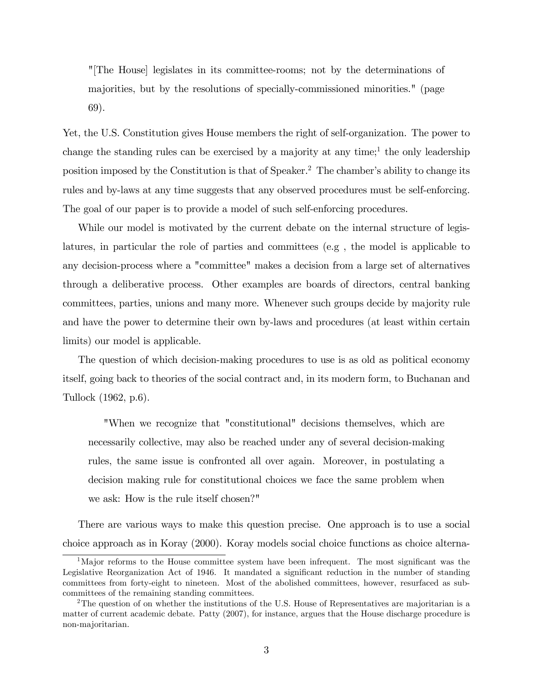"[The House] legislates in its committee-rooms; not by the determinations of majorities, but by the resolutions of specially-commissioned minorities." (page 69).

Yet, the U.S. Constitution gives House members the right of self-organization. The power to change the standing rules can be exercised by a majority at any time;<sup>1</sup> the only leadership position imposed by the Constitution is that of Speaker.<sup>2</sup> The chamber's ability to change its rules and by-laws at any time suggests that any observed procedures must be self-enforcing. The goal of our paper is to provide a model of such self-enforcing procedures.

While our model is motivated by the current debate on the internal structure of legislatures, in particular the role of parties and committees (e.g , the model is applicable to any decision-process where a "committee" makes a decision from a large set of alternatives through a deliberative process. Other examples are boards of directors, central banking committees, parties, unions and many more. Whenever such groups decide by majority rule and have the power to determine their own by-laws and procedures (at least within certain limits) our model is applicable.

The question of which decision-making procedures to use is as old as political economy itself, going back to theories of the social contract and, in its modern form, to Buchanan and Tullock (1962, p.6).

"When we recognize that "constitutional" decisions themselves, which are necessarily collective, may also be reached under any of several decision-making rules, the same issue is confronted all over again. Moreover, in postulating a decision making rule for constitutional choices we face the same problem when we ask: How is the rule itself chosen?"

There are various ways to make this question precise. One approach is to use a social choice approach as in Koray (2000). Koray models social choice functions as choice alterna-

<sup>&</sup>lt;sup>1</sup>Major reforms to the House committee system have been infrequent. The most significant was the Legislative Reorganization Act of 1946. It mandated a significant reduction in the number of standing committees from forty-eight to nineteen. Most of the abolished committees, however, resurfaced as subcommittees of the remaining standing committees.

<sup>2</sup>The question of on whether the institutions of the U.S. House of Representatives are majoritarian is a matter of current academic debate. Patty (2007), for instance, argues that the House discharge procedure is non-majoritarian.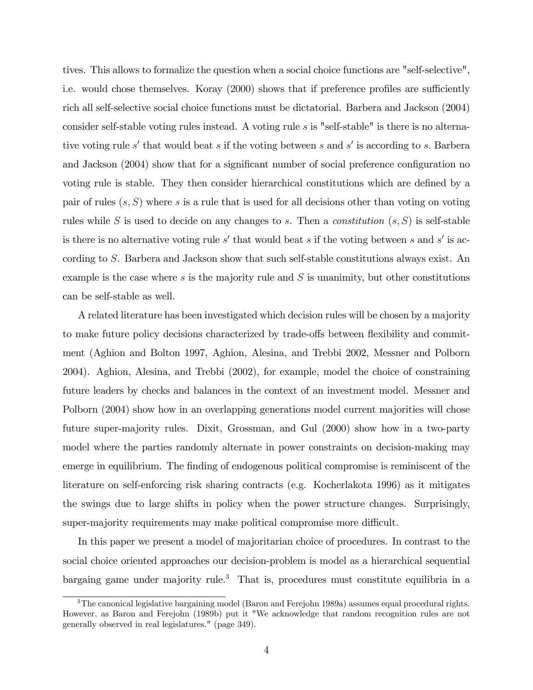tives. This allows to formalize the question when a social choice functions are "self-selective", i.e. would chose themselves. Koray (2000) shows that if preference profiles are sufficiently rich all self-selective social choice functions must be dictatorial. Barbera and Jackson (2004) consider self-stable voting rules instead. A voting rule s is "self-stable" is there is no alternative voting rule s' that would beat s if the voting between s and s' is according to s. Barbera and Jackson (2004) show that for a significant number of social preference configuration no voting rule is stable. They then consider hierarchical constitutions which are defined by a pair of rules  $(s, S)$  where s is a rule that is used for all decisions other than voting on voting rules while S is used to decide on any changes to s. Then a *constitution*  $(s, S)$  is self-stable is there is no alternative voting rule  $s'$  that would beat s if the voting between s and s' is according to S. Barbera and Jackson show that such self-stable constitutions always exist. An example is the case where  $s$  is the majority rule and  $S$  is unanimity, but other constitutions can be self-stable as well.

A related literature has been investigated which decision rules will be chosen by a majority to make future policy decisions characterized by trade-offs between flexibility and commitment (Aghion and Bolton 1997, Aghion, Alesina, and Trebbi 2002, Messner and Polborn 2004). Aghion, Alesina, and Trebbi (2002), for example, model the choice of constraining future leaders by checks and balances in the context of an investment model. Messner and Polborn (2004) show how in an overlapping generations model current majorities will chose future super-majority rules. Dixit, Grossman, and Gul (2000) show how in a two-party model where the parties randomly alternate in power constraints on decision-making may emerge in equilibrium. The finding of endogenous political compromise is reminiscent of the literature on self-enforcing risk sharing contracts (e.g. Kocherlakota 1996) as it mitigates the swings due to large shifts in policy when the power structure changes. Surprisingly, super-majority requirements may make political compromise more difficult.

In this paper we present a model of majoritarian choice of procedures. In contrast to the social choice oriented approaches our decision-problem is model as a hierarchical sequential bargaing game under majority rule.<sup>3</sup> That is, procedures must constitute equilibria in a

<sup>&</sup>lt;sup>3</sup>The canonical legislative bargaining model (Baron and Ferejohn 1989a) assumes equal procedural rights. However, as Baron and Ferejohn (1989b) put it "We acknowledge that random recognition rules are not generally observed in real legislatures." (page 349).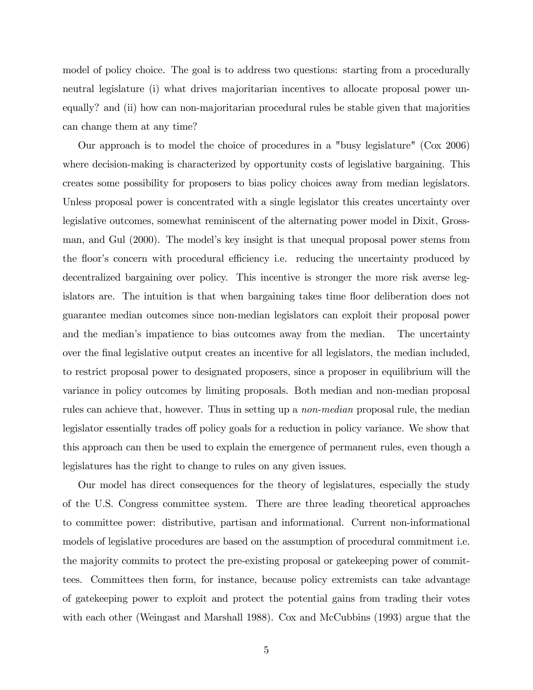model of policy choice. The goal is to address two questions: starting from a procedurally neutral legislature (i) what drives majoritarian incentives to allocate proposal power unequally? and (ii) how can non-majoritarian procedural rules be stable given that majorities can change them at any time?

Our approach is to model the choice of procedures in a "busy legislature" (Cox 2006) where decision-making is characterized by opportunity costs of legislative bargaining. This creates some possibility for proposers to bias policy choices away from median legislators. Unless proposal power is concentrated with a single legislator this creates uncertainty over legislative outcomes, somewhat reminiscent of the alternating power model in Dixit, Grossman, and Gul (2000). The model's key insight is that unequal proposal power stems from the floor's concern with procedural efficiency i.e. reducing the uncertainty produced by decentralized bargaining over policy. This incentive is stronger the more risk averse legislators are. The intuition is that when bargaining takes time floor deliberation does not guarantee median outcomes since non-median legislators can exploit their proposal power and the median's impatience to bias outcomes away from the median. The uncertainty over the Önal legislative output creates an incentive for all legislators, the median included, to restrict proposal power to designated proposers, since a proposer in equilibrium will the variance in policy outcomes by limiting proposals. Both median and non-median proposal rules can achieve that, however. Thus in setting up a non-median proposal rule, the median legislator essentially trades of policy goals for a reduction in policy variance. We show that this approach can then be used to explain the emergence of permanent rules, even though a legislatures has the right to change to rules on any given issues.

Our model has direct consequences for the theory of legislatures, especially the study of the U.S. Congress committee system. There are three leading theoretical approaches to committee power: distributive, partisan and informational. Current non-informational models of legislative procedures are based on the assumption of procedural commitment i.e. the majority commits to protect the pre-existing proposal or gatekeeping power of committees. Committees then form, for instance, because policy extremists can take advantage of gatekeeping power to exploit and protect the potential gains from trading their votes with each other (Weingast and Marshall 1988). Cox and McCubbins (1993) argue that the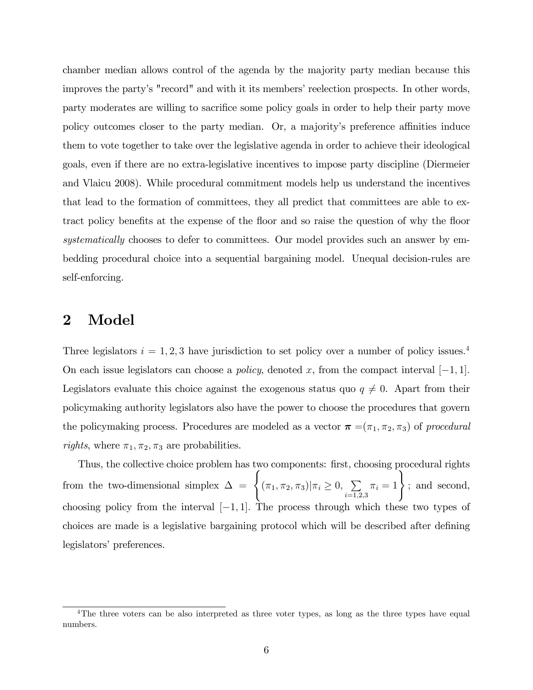chamber median allows control of the agenda by the majority party median because this improves the party's "record" and with it its members' reelection prospects. In other words, party moderates are willing to sacrifice some policy goals in order to help their party move policy outcomes closer to the party median. Or, a majority's preference affinities induce them to vote together to take over the legislative agenda in order to achieve their ideological goals, even if there are no extra-legislative incentives to impose party discipline (Diermeier and Vlaicu 2008). While procedural commitment models help us understand the incentives that lead to the formation of committees, they all predict that committees are able to extract policy benefits at the expense of the floor and so raise the question of why the floor systematically chooses to defer to committees. Our model provides such an answer by embedding procedural choice into a sequential bargaining model. Unequal decision-rules are self-enforcing.

### 2 Model

Three legislators  $i = 1, 2, 3$  have jurisdiction to set policy over a number of policy issues.<sup>4</sup> On each issue legislators can choose a *policy*, denoted x, from the compact interval  $[-1, 1]$ . Legislators evaluate this choice against the exogenous status quo  $q \neq 0$ . Apart from their policymaking authority legislators also have the power to choose the procedures that govern the policymaking process. Procedures are modeled as a vector  $\boldsymbol{\pi} = (\pi_1, \pi_2, \pi_3)$  of procedural *rights*, where  $\pi_1, \pi_2, \pi_3$  are probabilities.

Thus, the collective choice problem has two components: first, choosing procedural rights from the two-dimensional simplex  $\Delta = \begin{cases} (\pi_1, \pi_2, \pi_3) | \pi_i \geq 0, \sum_{i=1}^n \pi_i \end{cases}$  $i=1,2,3$  $\pi_i = 1$ , and second, choosing policy from the interval  $[-1, 1]$ . The process through which these two types of choices are made is a legislative bargaining protocol which will be described after defining legislators' preferences.

<sup>&</sup>lt;sup>4</sup>The three voters can be also interpreted as three voter types, as long as the three types have equal numbers.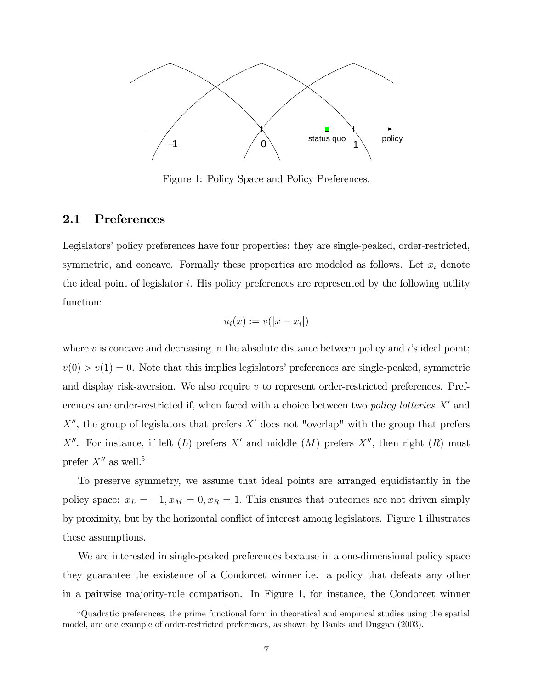

Figure 1: Policy Space and Policy Preferences.

#### 2.1 Preferences

Legislators' policy preferences have four properties: they are single-peaked, order-restricted, symmetric, and concave. Formally these properties are modeled as follows. Let  $x_i$  denote the ideal point of legislator  $i$ . His policy preferences are represented by the following utility function:

$$
u_i(x) := v(|x - x_i|)
$$

where  $v$  is concave and decreasing in the absolute distance between policy and  $i$ 's ideal point;  $v(0) > v(1) = 0$ . Note that this implies legislators' preferences are single-peaked, symmetric and display risk-aversion. We also require  $v$  to represent order-restricted preferences. Preferences are order-restricted if, when faced with a choice between two *policy lotteries*  $X'$  and  $X''$ , the group of legislators that prefers  $X'$  does not "overlap" with the group that prefers X''. For instance, if left  $(L)$  prefers X' and middle  $(M)$  prefers X'', then right  $(R)$  must prefer  $X''$  as well.<sup>5</sup>

To preserve symmetry, we assume that ideal points are arranged equidistantly in the policy space:  $x_L = -1, x_M = 0, x_R = 1$ . This ensures that outcomes are not driven simply by proximity, but by the horizontal conflict of interest among legislators. Figure 1 illustrates these assumptions.

We are interested in single-peaked preferences because in a one-dimensional policy space they guarantee the existence of a Condorcet winner i.e. a policy that defeats any other in a pairwise majority-rule comparison. In Figure 1, for instance, the Condorcet winner

<sup>5</sup>Quadratic preferences, the prime functional form in theoretical and empirical studies using the spatial model, are one example of order-restricted preferences, as shown by Banks and Duggan (2003).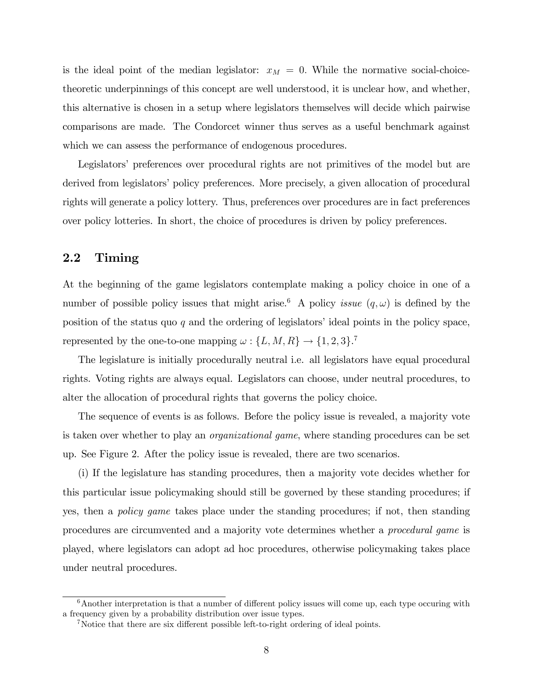is the ideal point of the median legislator:  $x_M = 0$ . While the normative social-choicetheoretic underpinnings of this concept are well understood, it is unclear how, and whether, this alternative is chosen in a setup where legislators themselves will decide which pairwise comparisons are made. The Condorcet winner thus serves as a useful benchmark against which we can assess the performance of endogenous procedures.

Legislators' preferences over procedural rights are not primitives of the model but are derived from legislators' policy preferences. More precisely, a given allocation of procedural rights will generate a policy lottery. Thus, preferences over procedures are in fact preferences over policy lotteries. In short, the choice of procedures is driven by policy preferences.

#### 2.2 Timing

At the beginning of the game legislators contemplate making a policy choice in one of a number of possible policy issues that might arise.<sup>6</sup> A policy *issue*  $(q,\omega)$  is defined by the position of the status quo  $q$  and the ordering of legislators' ideal points in the policy space, represented by the one-to-one mapping  $\omega: \{L, M, R\} \to \{1, 2, 3\}$ .<sup>7</sup>

The legislature is initially procedurally neutral i.e. all legislators have equal procedural rights. Voting rights are always equal. Legislators can choose, under neutral procedures, to alter the allocation of procedural rights that governs the policy choice.

The sequence of events is as follows. Before the policy issue is revealed, a majority vote is taken over whether to play an organizational game, where standing procedures can be set up. See Figure 2. After the policy issue is revealed, there are two scenarios.

(i) If the legislature has standing procedures, then a majority vote decides whether for this particular issue policymaking should still be governed by these standing procedures; if yes, then a *policy game* takes place under the standing procedures; if not, then standing procedures are circumvented and a majority vote determines whether a procedural game is played, where legislators can adopt ad hoc procedures, otherwise policymaking takes place under neutral procedures.

 $6$ Another interpretation is that a number of different policy issues will come up, each type occuring with a frequency given by a probability distribution over issue types.

<sup>&</sup>lt;sup>7</sup>Notice that there are six different possible left-to-right ordering of ideal points.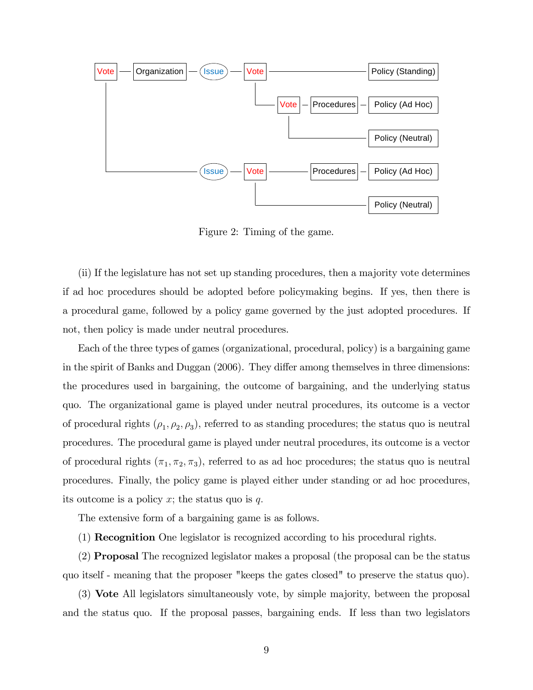

Figure 2: Timing of the game.

(ii) If the legislature has not set up standing procedures, then a majority vote determines if ad hoc procedures should be adopted before policymaking begins. If yes, then there is a procedural game, followed by a policy game governed by the just adopted procedures. If not, then policy is made under neutral procedures.

Each of the three types of games (organizational, procedural, policy) is a bargaining game in the spirit of Banks and Duggan (2006). They differ among themselves in three dimensions: the procedures used in bargaining, the outcome of bargaining, and the underlying status quo. The organizational game is played under neutral procedures, its outcome is a vector of procedural rights  $(\rho_1, \rho_2, \rho_3)$ , referred to as standing procedures; the status quo is neutral procedures. The procedural game is played under neutral procedures, its outcome is a vector of procedural rights  $(\pi_1, \pi_2, \pi_3)$ , referred to as ad hoc procedures; the status quo is neutral procedures. Finally, the policy game is played either under standing or ad hoc procedures, its outcome is a policy x; the status quo is  $q$ .

The extensive form of a bargaining game is as follows.

(1) Recognition One legislator is recognized according to his procedural rights.

(2) Proposal The recognized legislator makes a proposal (the proposal can be the status quo itself - meaning that the proposer "keeps the gates closed" to preserve the status quo).

(3) Vote All legislators simultaneously vote, by simple majority, between the proposal and the status quo. If the proposal passes, bargaining ends. If less than two legislators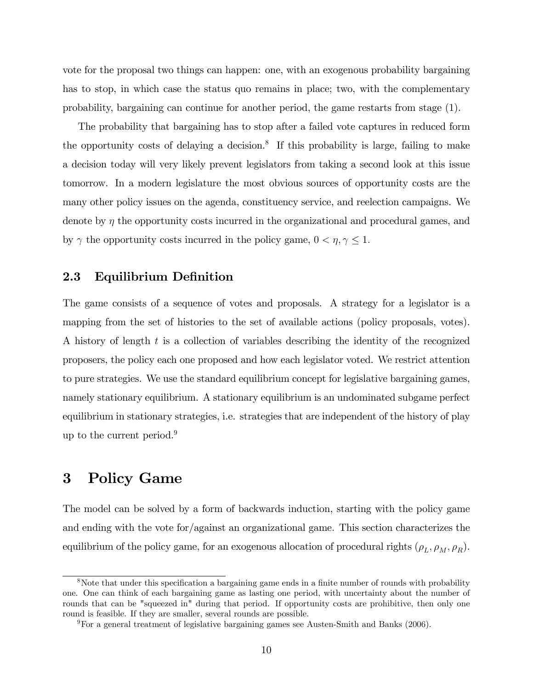vote for the proposal two things can happen: one, with an exogenous probability bargaining has to stop, in which case the status quo remains in place; two, with the complementary probability, bargaining can continue for another period, the game restarts from stage (1).

The probability that bargaining has to stop after a failed vote captures in reduced form the opportunity costs of delaying a decision.<sup>8</sup> If this probability is large, failing to make a decision today will very likely prevent legislators from taking a second look at this issue tomorrow. In a modern legislature the most obvious sources of opportunity costs are the many other policy issues on the agenda, constituency service, and reelection campaigns. We denote by  $\eta$  the opportunity costs incurred in the organizational and procedural games, and by  $\gamma$  the opportunity costs incurred in the policy game,  $0 < \eta, \gamma \leq 1$ .

#### 2.3 Equilibrium Definition

The game consists of a sequence of votes and proposals. A strategy for a legislator is a mapping from the set of histories to the set of available actions (policy proposals, votes). A history of length t is a collection of variables describing the identity of the recognized proposers, the policy each one proposed and how each legislator voted. We restrict attention to pure strategies. We use the standard equilibrium concept for legislative bargaining games, namely stationary equilibrium. A stationary equilibrium is an undominated subgame perfect equilibrium in stationary strategies, i.e. strategies that are independent of the history of play up to the current period.<sup>9</sup>

## 3 Policy Game

The model can be solved by a form of backwards induction, starting with the policy game and ending with the vote for/against an organizational game. This section characterizes the equilibrium of the policy game, for an exogenous allocation of procedural rights  $(\rho_L, \rho_M, \rho_R)$ .

<sup>&</sup>lt;sup>8</sup>Note that under this specification a bargaining game ends in a finite number of rounds with probability one. One can think of each bargaining game as lasting one period, with uncertainty about the number of rounds that can be "squeezed in" during that period. If opportunity costs are prohibitive, then only one round is feasible. If they are smaller, several rounds are possible.

<sup>9</sup>For a general treatment of legislative bargaining games see Austen-Smith and Banks (2006).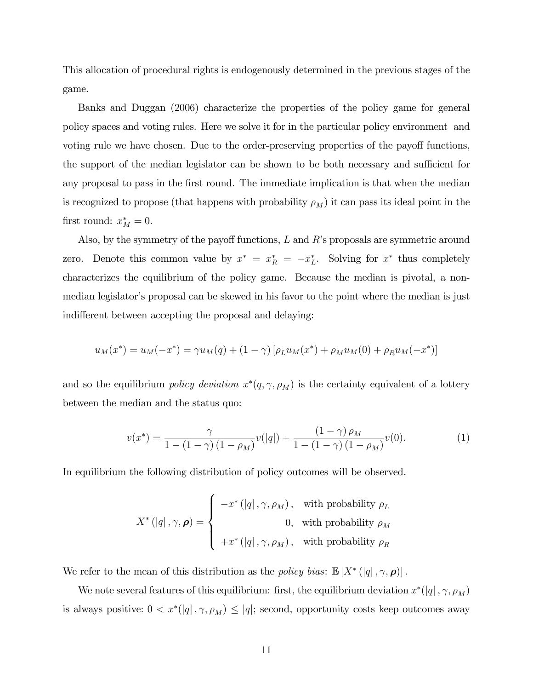This allocation of procedural rights is endogenously determined in the previous stages of the game.

Banks and Duggan (2006) characterize the properties of the policy game for general policy spaces and voting rules. Here we solve it for in the particular policy environment and voting rule we have chosen. Due to the order-preserving properties of the payoff functions, the support of the median legislator can be shown to be both necessary and sufficient for any proposal to pass in the first round. The immediate implication is that when the median is recognized to propose (that happens with probability  $\rho_M$ ) it can pass its ideal point in the first round:  $x_M^* = 0$ .

Also, by the symmetry of the payoff functions,  $L$  and  $R$ 's proposals are symmetric around zero. Denote this common value by  $x^* = x_R^* = -x_L^*$ . Solving for  $x^*$  thus completely characterizes the equilibrium of the policy game. Because the median is pivotal, a nonmedian legislator's proposal can be skewed in his favor to the point where the median is just indifferent between accepting the proposal and delaying:

$$
u_M(x^*) = u_M(-x^*) = \gamma u_M(q) + (1 - \gamma) [\rho_L u_M(x^*) + \rho_M u_M(0) + \rho_R u_M(-x^*)]
$$

and so the equilibrium *policy deviation*  $x^*(q, \gamma, \rho_M)$  is the certainty equivalent of a lottery between the median and the status quo:

$$
v(x^*) = \frac{\gamma}{1 - (1 - \gamma)(1 - \rho_M)} v(|q|) + \frac{(1 - \gamma)\rho_M}{1 - (1 - \gamma)(1 - \rho_M)} v(0).
$$
 (1)

In equilibrium the following distribution of policy outcomes will be observed.

$$
X^*\left(\left|q\right|,\gamma,\boldsymbol{\rho}\right)=\left\{\begin{array}{cl} -x^*\left(\left|q\right|,\gamma,\rho_M\right), & \text{with probability }\rho_L \\ & 0, & \text{with probability }\rho_M \\ & \\ +x^*\left(\left|q\right|,\gamma,\rho_M\right), & \text{with probability }\rho_R \end{array}\right.
$$

We refer to the mean of this distribution as the *policy bias*:  $\mathbb{E}[X^*(|q|, \gamma, \rho)]$ .

We note several features of this equilibrium: first, the equilibrium deviation  $x^*(q|, \gamma, \rho_M)$ is always positive:  $0 < x^*(|q|, \gamma, \rho_M) \leq |q|$ ; second, opportunity costs keep outcomes away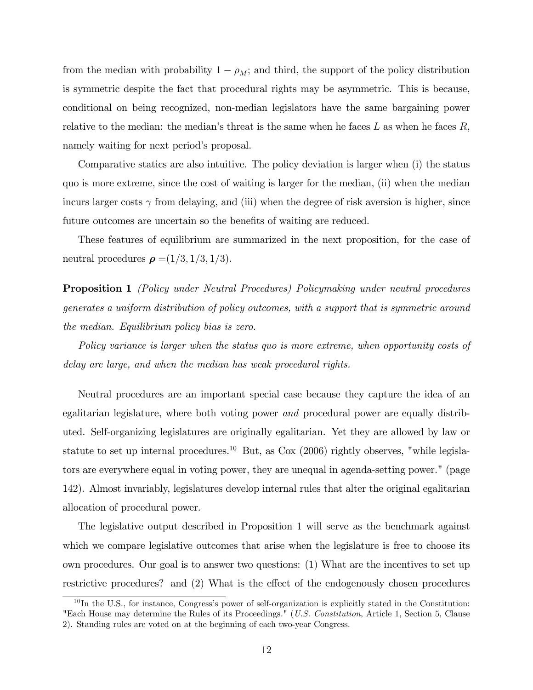from the median with probability  $1 - \rho_M$ ; and third, the support of the policy distribution is symmetric despite the fact that procedural rights may be asymmetric. This is because, conditional on being recognized, non-median legislators have the same bargaining power relative to the median: the median's threat is the same when he faces  $L$  as when he faces  $R$ , namely waiting for next period's proposal.

Comparative statics are also intuitive. The policy deviation is larger when (i) the status quo is more extreme, since the cost of waiting is larger for the median, (ii) when the median incurs larger costs  $\gamma$  from delaying, and (iii) when the degree of risk aversion is higher, since future outcomes are uncertain so the benefits of waiting are reduced.

These features of equilibrium are summarized in the next proposition, for the case of neutral procedures  $\rho = (1/3, 1/3, 1/3).$ 

Proposition 1 (Policy under Neutral Procedures) Policymaking under neutral procedures generates a uniform distribution of policy outcomes, with a support that is symmetric around the median. Equilibrium policy bias is zero.

Policy variance is larger when the status quo is more extreme, when opportunity costs of delay are large, and when the median has weak procedural rights.

Neutral procedures are an important special case because they capture the idea of an egalitarian legislature, where both voting power and procedural power are equally distributed. Self-organizing legislatures are originally egalitarian. Yet they are allowed by law or statute to set up internal procedures.<sup>10</sup> But, as  $\cos(2006)$  rightly observes, "while legislators are everywhere equal in voting power, they are unequal in agenda-setting power." (page 142). Almost invariably, legislatures develop internal rules that alter the original egalitarian allocation of procedural power.

The legislative output described in Proposition 1 will serve as the benchmark against which we compare legislative outcomes that arise when the legislature is free to choose its own procedures. Our goal is to answer two questions: (1) What are the incentives to set up restrictive procedures? and (2) What is the effect of the endogenously chosen procedures

 $10$  In the U.S., for instance, Congress's power of self-organization is explicitly stated in the Constitution: "Each House may determine the Rules of its Proceedings." (U.S. Constitution, Article 1, Section 5, Clause 2). Standing rules are voted on at the beginning of each two-year Congress.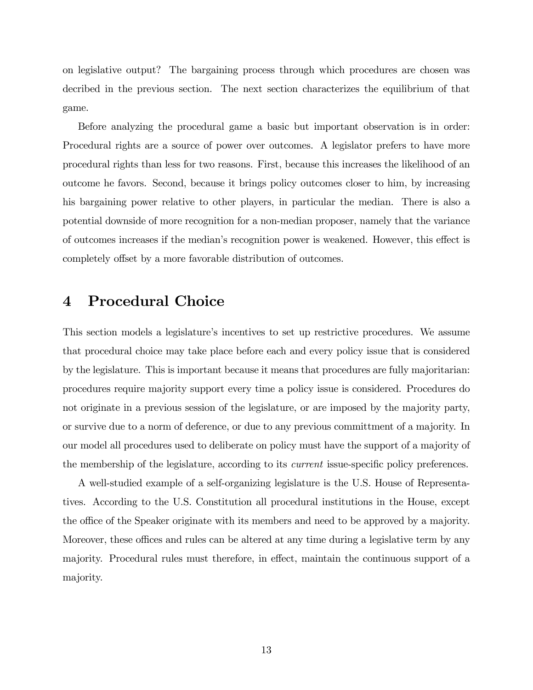on legislative output? The bargaining process through which procedures are chosen was decribed in the previous section. The next section characterizes the equilibrium of that game.

Before analyzing the procedural game a basic but important observation is in order: Procedural rights are a source of power over outcomes. A legislator prefers to have more procedural rights than less for two reasons. First, because this increases the likelihood of an outcome he favors. Second, because it brings policy outcomes closer to him, by increasing his bargaining power relative to other players, in particular the median. There is also a potential downside of more recognition for a non-median proposer, namely that the variance of outcomes increases if the median's recognition power is weakened. However, this effect is completely offset by a more favorable distribution of outcomes.

## 4 Procedural Choice

This section models a legislature's incentives to set up restrictive procedures. We assume that procedural choice may take place before each and every policy issue that is considered by the legislature. This is important because it means that procedures are fully majoritarian: procedures require majority support every time a policy issue is considered. Procedures do not originate in a previous session of the legislature, or are imposed by the majority party, or survive due to a norm of deference, or due to any previous committment of a majority. In our model all procedures used to deliberate on policy must have the support of a majority of the membership of the legislature, according to its *current* issue-specific policy preferences.

A well-studied example of a self-organizing legislature is the U.S. House of Representatives. According to the U.S. Constitution all procedural institutions in the House, except the office of the Speaker originate with its members and need to be approved by a majority. Moreover, these offices and rules can be altered at any time during a legislative term by any majority. Procedural rules must therefore, in effect, maintain the continuous support of a majority.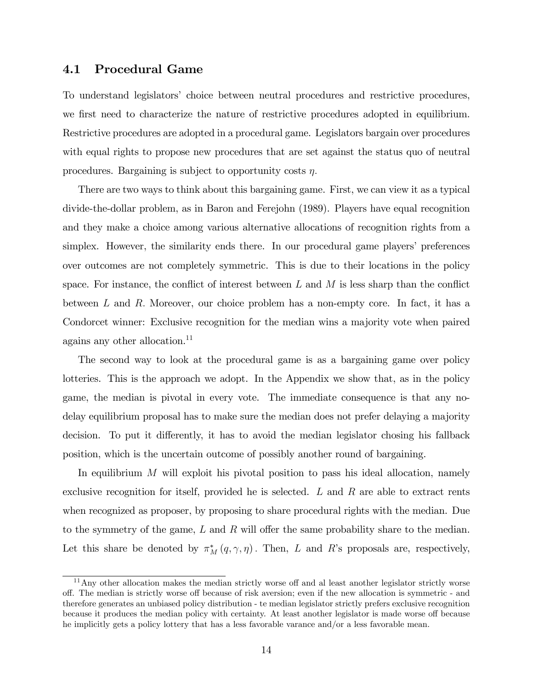#### 4.1 Procedural Game

To understand legislators' choice between neutral procedures and restrictive procedures, we first need to characterize the nature of restrictive procedures adopted in equilibrium. Restrictive procedures are adopted in a procedural game. Legislators bargain over procedures with equal rights to propose new procedures that are set against the status quo of neutral procedures. Bargaining is subject to opportunity costs  $\eta$ .

There are two ways to think about this bargaining game. First, we can view it as a typical divide-the-dollar problem, as in Baron and Ferejohn (1989). Players have equal recognition and they make a choice among various alternative allocations of recognition rights from a simplex. However, the similarity ends there. In our procedural game players' preferences over outcomes are not completely symmetric. This is due to their locations in the policy space. For instance, the conflict of interest between L and M is less sharp than the conflict between L and R: Moreover, our choice problem has a non-empty core. In fact, it has a Condorcet winner: Exclusive recognition for the median wins a majority vote when paired agains any other allocation.<sup>11</sup>

The second way to look at the procedural game is as a bargaining game over policy lotteries. This is the approach we adopt. In the Appendix we show that, as in the policy game, the median is pivotal in every vote. The immediate consequence is that any nodelay equilibrium proposal has to make sure the median does not prefer delaying a majority decision. To put it differently, it has to avoid the median legislator chosing his fallback position, which is the uncertain outcome of possibly another round of bargaining.

In equilibrium  $M$  will exploit his pivotal position to pass his ideal allocation, namely exclusive recognition for itself, provided he is selected. L and R are able to extract rents when recognized as proposer, by proposing to share procedural rights with the median. Due to the symmetry of the game,  $L$  and  $R$  will offer the same probability share to the median. Let this share be denoted by  $\pi_M^*(q, \gamma, \eta)$ . Then, L and R's proposals are, respectively,

 $11$ Any other allocation makes the median strictly worse off and al least another legislator strictly worse off. The median is strictly worse off because of risk aversion; even if the new allocation is symmetric - and therefore generates an unbiased policy distribution - te median legislator strictly prefers exclusive recognition because it produces the median policy with certainty. At least another legislator is made worse off because he implicitly gets a policy lottery that has a less favorable varance and/or a less favorable mean.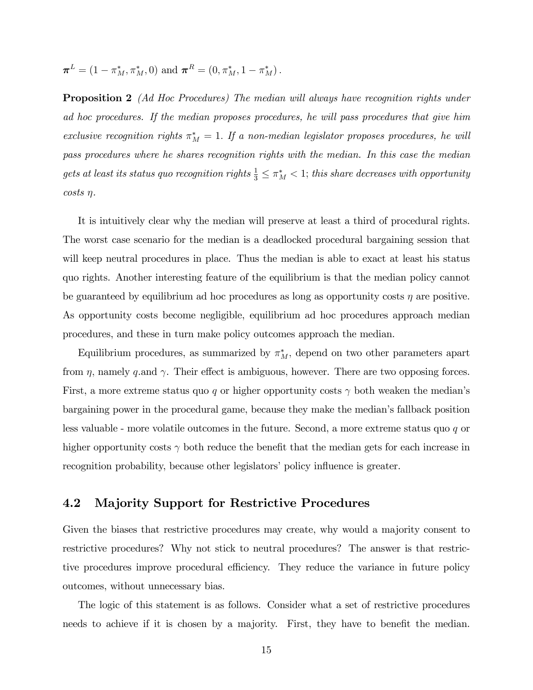$$
\boldsymbol{\pi}^{L} = (1 - \pi_{M}^{*}, \pi_{M}^{*}, 0)
$$
 and  $\boldsymbol{\pi}^{R} = (0, \pi_{M}^{*}, 1 - \pi_{M}^{*}).$ 

**Proposition 2** (Ad Hoc Procedures) The median will always have recognition rights under ad hoc procedures. If the median proposes procedures, he will pass procedures that give him exclusive recognition rights  $\pi_M^* = 1$ . If a non-median legislator proposes procedures, he will pass procedures where he shares recognition rights with the median. In this case the median gets at least its status quo recognition rights  $\frac{1}{3} \leq \pi_M^* < 1$ ; this share decreases with opportunity  $costs \eta$ .

It is intuitively clear why the median will preserve at least a third of procedural rights. The worst case scenario for the median is a deadlocked procedural bargaining session that will keep neutral procedures in place. Thus the median is able to exact at least his status quo rights. Another interesting feature of the equilibrium is that the median policy cannot be guaranteed by equilibrium ad hoc procedures as long as opportunity costs  $\eta$  are positive. As opportunity costs become negligible, equilibrium ad hoc procedures approach median procedures, and these in turn make policy outcomes approach the median.

Equilibrium procedures, as summarized by  $\pi_M^*$ , depend on two other parameters apart from  $\eta$ , namely q.and  $\gamma$ . Their effect is ambiguous, however. There are two opposing forces. First, a more extreme status quo q or higher opportunity costs  $\gamma$  both weaken the median's bargaining power in the procedural game, because they make the medianís fallback position less valuable - more volatile outcomes in the future. Second, a more extreme status quo q or higher opportunity costs  $\gamma$  both reduce the benefit that the median gets for each increase in recognition probability, because other legislators' policy influence is greater.

#### 4.2 Majority Support for Restrictive Procedures

Given the biases that restrictive procedures may create, why would a majority consent to restrictive procedures? Why not stick to neutral procedures? The answer is that restrictive procedures improve procedural efficiency. They reduce the variance in future policy outcomes, without unnecessary bias.

The logic of this statement is as follows. Consider what a set of restrictive procedures needs to achieve if it is chosen by a majority. First, they have to benefit the median.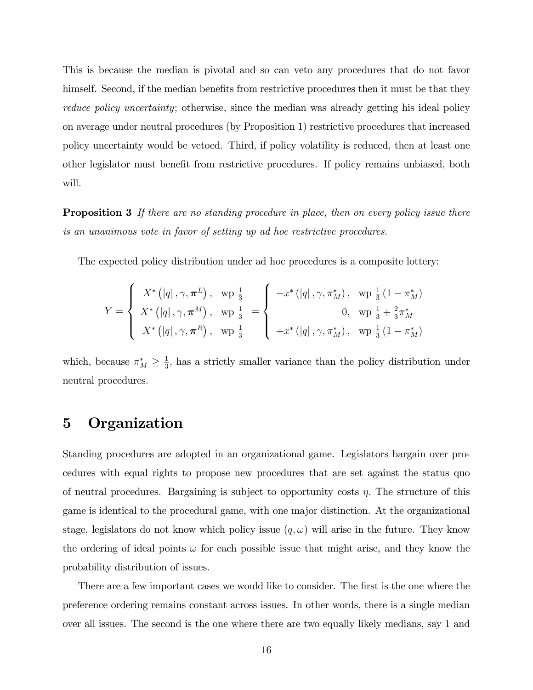This is because the median is pivotal and so can veto any procedures that do not favor himself. Second, if the median benefits from restrictive procedures then it must be that they reduce policy uncertainty; otherwise, since the median was already getting his ideal policy on average under neutral procedures (by Proposition 1) restrictive procedures that increased policy uncertainty would be vetoed. Third, if policy volatility is reduced, then at least one other legislator must benefit from restrictive procedures. If policy remains unbiased, both will.

**Proposition 3** If there are no standing procedure in place, then on every policy issue there is an unanimous vote in favor of setting up ad hoc restrictive procedures.

The expected policy distribution under ad hoc procedures is a composite lottery:

$$
Y = \begin{cases} X^* (|q|, \gamma, \pi^L), & \text{wp } \frac{1}{3} \\ X^* (|q|, \gamma, \pi^M), & \text{wp } \frac{1}{3} \\ X^* (|q|, \gamma, \pi^R), & \text{wp } \frac{1}{3} \end{cases} = \begin{cases} -x^* (|q|, \gamma, \pi_M^*), & \text{wp } \frac{1}{3} (1 - \pi_M^*) \\ 0, & \text{wp } \frac{1}{3} + \frac{2}{3} \pi_M^* \\ +x^* (|q|, \gamma, \pi_M^*) , & \text{wp } \frac{1}{3} (1 - \pi_M^*) \end{cases}
$$

which, because  $\pi_M^* \geq \frac{1}{3}$  $\frac{1}{3}$ , has a strictly smaller variance than the policy distribution under neutral procedures.

# 5 Organization

Standing procedures are adopted in an organizational game. Legislators bargain over procedures with equal rights to propose new procedures that are set against the status quo of neutral procedures. Bargaining is subject to opportunity costs  $\eta$ . The structure of this game is identical to the procedural game, with one major distinction. At the organizational stage, legislators do not know which policy issue  $(q, \omega)$  will arise in the future. They know the ordering of ideal points  $\omega$  for each possible issue that might arise, and they know the probability distribution of issues.

There are a few important cases we would like to consider. The first is the one where the preference ordering remains constant across issues. In other words, there is a single median over all issues. The second is the one where there are two equally likely medians, say 1 and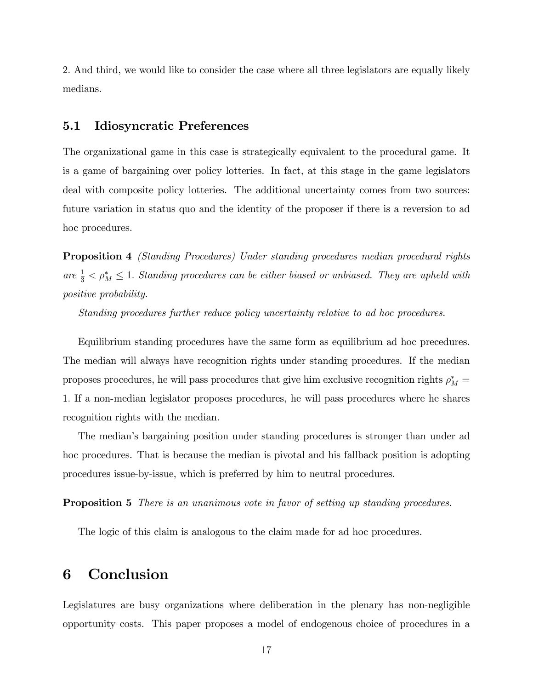2: And third, we would like to consider the case where all three legislators are equally likely medians.

#### 5.1 Idiosyncratic Preferences

The organizational game in this case is strategically equivalent to the procedural game. It is a game of bargaining over policy lotteries. In fact, at this stage in the game legislators deal with composite policy lotteries. The additional uncertainty comes from two sources: future variation in status quo and the identity of the proposer if there is a reversion to ad hoc procedures.

Proposition 4 (Standing Procedures) Under standing procedures median procedural rights are  $\frac{1}{3} < \rho_M^* \leq 1$ . Standing procedures can be either biased or unbiased. They are upheld with positive probability.

Standing procedures further reduce policy uncertainty relative to ad hoc procedures.

Equilibrium standing procedures have the same form as equilibrium ad hoc precedures. The median will always have recognition rights under standing procedures. If the median proposes procedures, he will pass procedures that give him exclusive recognition rights  $\rho_M^* =$ 1: If a non-median legislator proposes procedures, he will pass procedures where he shares recognition rights with the median.

The medianís bargaining position under standing procedures is stronger than under ad hoc procedures. That is because the median is pivotal and his fallback position is adopting procedures issue-by-issue, which is preferred by him to neutral procedures.

**Proposition 5** There is an unanimous vote in favor of setting up standing procedures.

The logic of this claim is analogous to the claim made for ad hoc procedures.

## 6 Conclusion

Legislatures are busy organizations where deliberation in the plenary has non-negligible opportunity costs. This paper proposes a model of endogenous choice of procedures in a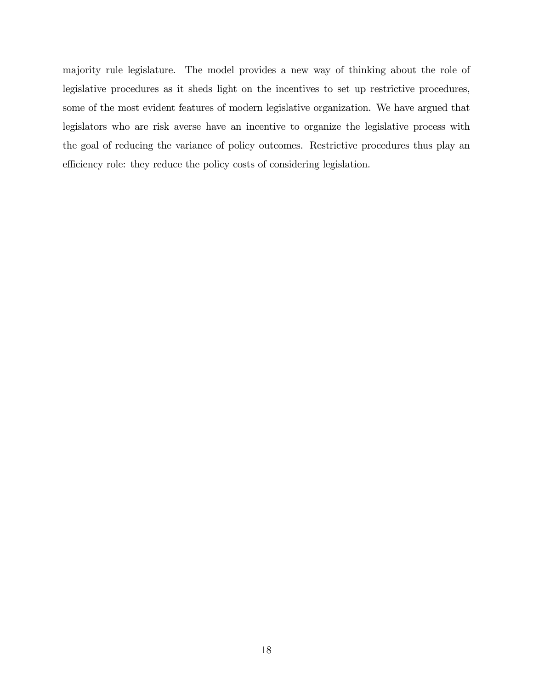majority rule legislature. The model provides a new way of thinking about the role of legislative procedures as it sheds light on the incentives to set up restrictive procedures, some of the most evident features of modern legislative organization. We have argued that legislators who are risk averse have an incentive to organize the legislative process with the goal of reducing the variance of policy outcomes. Restrictive procedures thus play an efficiency role: they reduce the policy costs of considering legislation.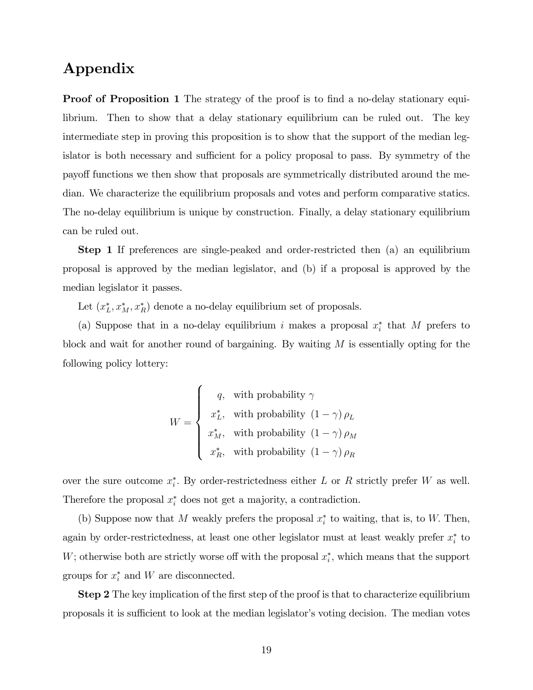## Appendix

**Proof of Proposition 1** The strategy of the proof is to find a no-delay stationary equilibrium. Then to show that a delay stationary equilibrium can be ruled out. The key intermediate step in proving this proposition is to show that the support of the median legislator is both necessary and sufficient for a policy proposal to pass. By symmetry of the payo§ functions we then show that proposals are symmetrically distributed around the median. We characterize the equilibrium proposals and votes and perform comparative statics. The no-delay equilibrium is unique by construction. Finally, a delay stationary equilibrium can be ruled out.

Step 1 If preferences are single-peaked and order-restricted then (a) an equilibrium proposal is approved by the median legislator, and (b) if a proposal is approved by the median legislator it passes.

Let  $(x_L^*, x_M^*, x_R^*)$  denote a no-delay equilibrium set of proposals.

(a) Suppose that in a no-delay equilibrium i makes a proposal  $x_i^*$  that M prefers to block and wait for another round of bargaining. By waiting M is essentially opting for the following policy lottery:

$$
W = \begin{cases} q, & \text{with probability } \gamma \\ x_L^*, & \text{with probability } (1 - \gamma) \, \rho_L \\ x_M^*, & \text{with probability } (1 - \gamma) \, \rho_M \\ x_R^*, & \text{with probability } (1 - \gamma) \, \rho_R \end{cases}
$$

over the sure outcome  $x_i^*$ . By order-restrictedness either L or R strictly prefer W as well. Therefore the proposal  $x_i^*$  does not get a majority, a contradiction.

(b) Suppose now that M weakly prefers the proposal  $x_i^*$  to waiting, that is, to W. Then, again by order-restrictedness, at least one other legislator must at least weakly prefer  $x_i^*$  to W; otherwise both are strictly worse off with the proposal  $x_i^*$ , which means that the support groups for  $x_i^*$  and W are disconnected.

**Step 2** The key implication of the first step of the proof is that to characterize equilibrium proposals it is sufficient to look at the median legislator's voting decision. The median votes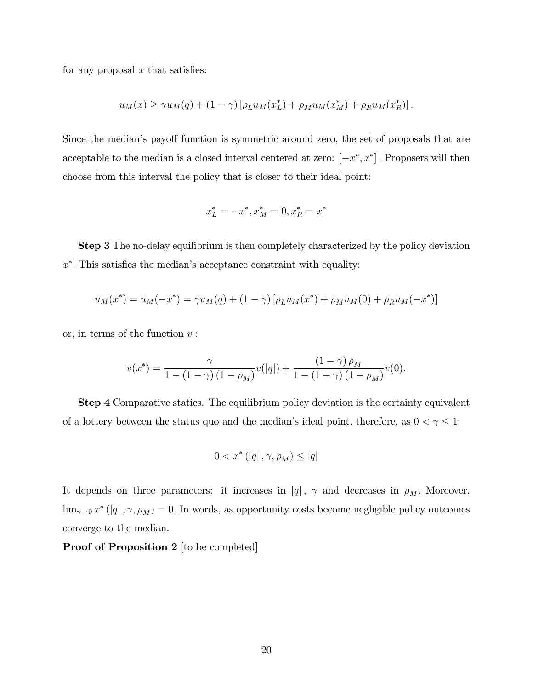for any proposal  $x$  that satisfies:

$$
u_M(x) \ge \gamma u_M(q) + (1 - \gamma) \left[ \rho_L u_M(x_L^*) + \rho_M u_M(x_M^*) + \rho_R u_M(x_R^*) \right].
$$

Since the median's payoff function is symmetric around zero, the set of proposals that are acceptable to the median is a closed interval centered at zero:  $[-x^*, x^*]$ . Proposers will then choose from this interval the policy that is closer to their ideal point:

$$
x_L^* = -x^*, x_M^* = 0, x_R^* = x^*
$$

**Step 3** The no-delay equilibrium is then completely characterized by the policy deviation  $x^*$ . This satisfies the median's acceptance constraint with equality:

$$
u_M(x^*) = u_M(-x^*) = \gamma u_M(q) + (1 - \gamma) [\rho_L u_M(x^*) + \rho_M u_M(0) + \rho_R u_M(-x^*)]
$$

or, in terms of the function  $v$ :

$$
v(x^*) = \frac{\gamma}{1 - (1 - \gamma)(1 - \rho_M)} v(|q|) + \frac{(1 - \gamma)\rho_M}{1 - (1 - \gamma)(1 - \rho_M)} v(0).
$$

**Step 4** Comparative statics. The equilibrium policy deviation is the certainty equivalent of a lottery between the status quo and the median's ideal point, therefore, as  $0 < \gamma \leq 1$ :

$$
0 < x^* \left( \left| q \right|, \gamma, \rho_M \right) \leq \left| q \right|
$$

It depends on three parameters: it increases in  $|q|$ ,  $\gamma$  and decreases in  $\rho_M$ . Moreover,  $\lim_{\gamma \to 0} x^* (|q|, \gamma, \rho_M) = 0$ . In words, as opportunity costs become negligible policy outcomes converge to the median.

Proof of Proposition 2 [to be completed]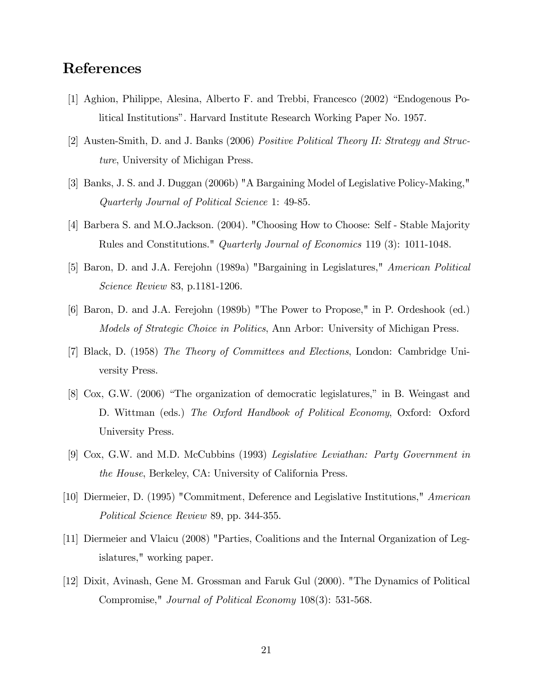## References

- [1] Aghion, Philippe, Alesina, Alberto F. and Trebbi, Francesco  $(2002)$  "Endogenous Political Institutionsî. Harvard Institute Research Working Paper No. 1957.
- [2] Austen-Smith, D. and J. Banks (2006) Positive Political Theory II: Strategy and Structure, University of Michigan Press.
- [3] Banks, J. S. and J. Duggan (2006b) "A Bargaining Model of Legislative Policy-Making," Quarterly Journal of Political Science 1: 49-85.
- [4] Barbera S. and M.O.Jackson. (2004). "Choosing How to Choose: Self Stable Majority Rules and Constitutions." Quarterly Journal of Economics 119 (3): 1011-1048.
- [5] Baron, D. and J.A. Ferejohn (1989a) "Bargaining in Legislatures," American Political Science Review 83, p.1181-1206.
- [6] Baron, D. and J.A. Ferejohn (1989b) "The Power to Propose," in P. Ordeshook (ed.) Models of Strategic Choice in Politics, Ann Arbor: University of Michigan Press.
- [7] Black, D. (1958) The Theory of Committees and Elections, London: Cambridge University Press.
- $[8]$  Cox, G.W.  $(2006)$  "The organization of democratic legislatures," in B. Weingast and D. Wittman (eds.) The Oxford Handbook of Political Economy, Oxford: Oxford University Press.
- [9] Cox, G.W. and M.D. McCubbins (1993) Legislative Leviathan: Party Government in the House, Berkeley, CA: University of California Press.
- [10] Diermeier, D. (1995) "Commitment, Deference and Legislative Institutions," American Political Science Review 89, pp. 344-355.
- [11] Diermeier and Vlaicu (2008) "Parties, Coalitions and the Internal Organization of Legislatures," working paper.
- [12] Dixit, Avinash, Gene M. Grossman and Faruk Gul (2000). "The Dynamics of Political Compromise," Journal of Political Economy 108(3): 531-568.